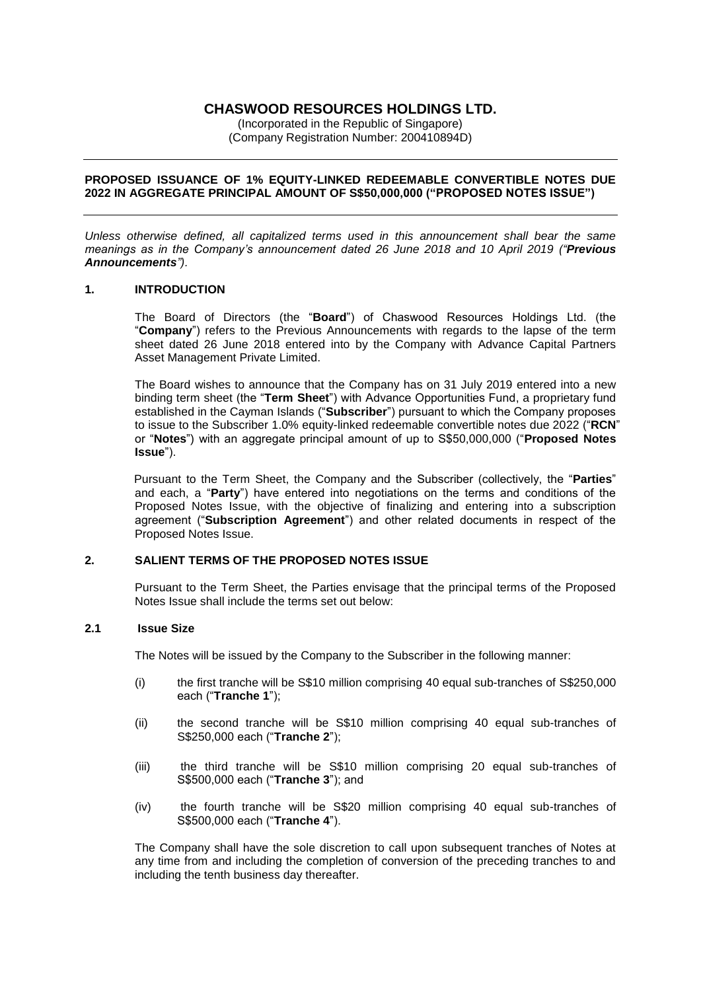## **CHASWOOD RESOURCES HOLDINGS LTD.**

(Incorporated in the Republic of Singapore) (Company Registration Number: 200410894D)

### **PROPOSED ISSUANCE OF 1% EQUITY-LINKED REDEEMABLE CONVERTIBLE NOTES DUE 2022 IN AGGREGATE PRINCIPAL AMOUNT OF S\$50,000,000 ("PROPOSED NOTES ISSUE")**

*Unless otherwise defined, all capitalized terms used in this announcement shall bear the same meanings as in the Company's announcement dated 26 June 2018 and 10 April 2019 ("Previous Announcements").*

### **1. INTRODUCTION**

The Board of Directors (the "**Board**") of Chaswood Resources Holdings Ltd. (the "**Company**") refers to the Previous Announcements with regards to the lapse of the term sheet dated 26 June 2018 entered into by the Company with Advance Capital Partners Asset Management Private Limited.

The Board wishes to announce that the Company has on 31 July 2019 entered into a new binding term sheet (the "**Term Sheet**") with Advance Opportunities Fund, a proprietary fund established in the Cayman Islands ("**Subscriber**") pursuant to which the Company proposes to issue to the Subscriber 1.0% equity-linked redeemable convertible notes due 2022 ("**RCN**" or "**Notes**") with an aggregate principal amount of up to S\$50,000,000 ("**Proposed Notes Issue**").

Pursuant to the Term Sheet, the Company and the Subscriber (collectively, the "**Parties**" and each, a "**Party**") have entered into negotiations on the terms and conditions of the Proposed Notes Issue, with the objective of finalizing and entering into a subscription agreement ("**Subscription Agreement**") and other related documents in respect of the Proposed Notes Issue.

# **2. SALIENT TERMS OF THE PROPOSED NOTES ISSUE**

Pursuant to the Term Sheet, the Parties envisage that the principal terms of the Proposed Notes Issue shall include the terms set out below:

## **2.1 Issue Size**

The Notes will be issued by the Company to the Subscriber in the following manner:

- (i) the first tranche will be S\$10 million comprising 40 equal sub-tranches of S\$250,000 each ("**Tranche 1**");
- (ii) the second tranche will be S\$10 million comprising 40 equal sub-tranches of S\$250,000 each ("**Tranche 2**");
- (iii) the third tranche will be S\$10 million comprising 20 equal sub-tranches of S\$500,000 each ("**Tranche 3**"); and
- (iv) the fourth tranche will be S\$20 million comprising 40 equal sub-tranches of S\$500,000 each ("**Tranche 4**").

The Company shall have the sole discretion to call upon subsequent tranches of Notes at any time from and including the completion of conversion of the preceding tranches to and including the tenth business day thereafter.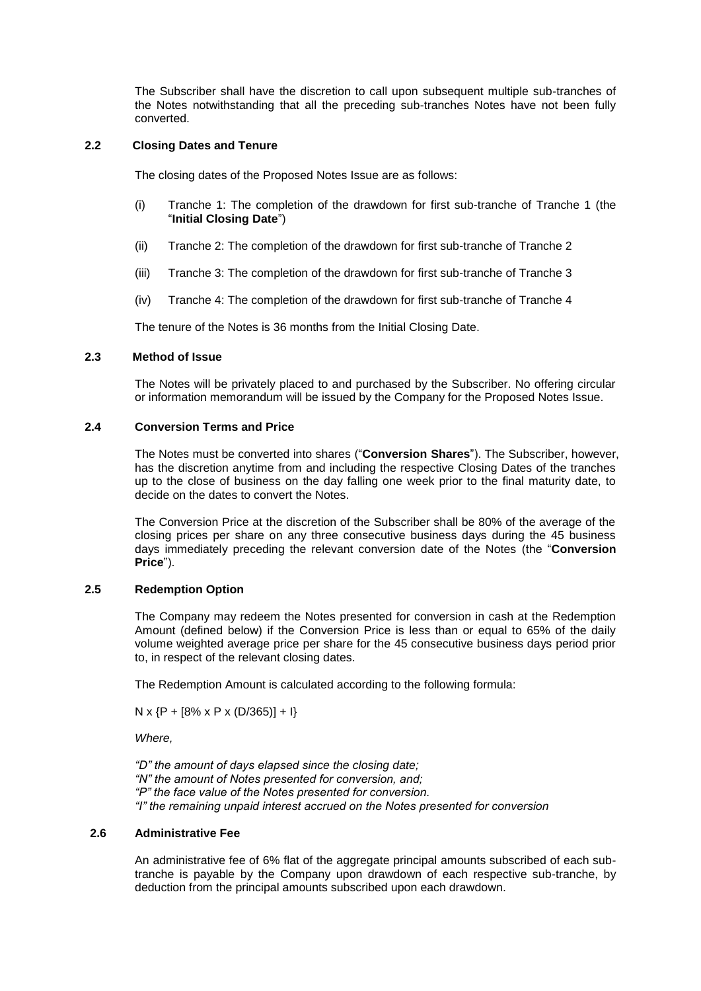The Subscriber shall have the discretion to call upon subsequent multiple sub-tranches of the Notes notwithstanding that all the preceding sub-tranches Notes have not been fully converted.

### **2.2 Closing Dates and Tenure**

The closing dates of the Proposed Notes Issue are as follows:

- (i) Tranche 1: The completion of the drawdown for first sub-tranche of Tranche 1 (the "**Initial Closing Date**")
- (ii) Tranche 2: The completion of the drawdown for first sub-tranche of Tranche 2
- (iii) Tranche 3: The completion of the drawdown for first sub-tranche of Tranche 3
- (iv) Tranche 4: The completion of the drawdown for first sub-tranche of Tranche 4

The tenure of the Notes is 36 months from the Initial Closing Date.

## **2.3 Method of Issue**

The Notes will be privately placed to and purchased by the Subscriber. No offering circular or information memorandum will be issued by the Company for the Proposed Notes Issue.

## **2.4 Conversion Terms and Price**

The Notes must be converted into shares ("**Conversion Shares**"). The Subscriber, however, has the discretion anytime from and including the respective Closing Dates of the tranches up to the close of business on the day falling one week prior to the final maturity date, to decide on the dates to convert the Notes.

The Conversion Price at the discretion of the Subscriber shall be 80% of the average of the closing prices per share on any three consecutive business days during the 45 business days immediately preceding the relevant conversion date of the Notes (the "**Conversion Price**").

## **2.5 Redemption Option**

The Company may redeem the Notes presented for conversion in cash at the Redemption Amount (defined below) if the Conversion Price is less than or equal to 65% of the daily volume weighted average price per share for the 45 consecutive business days period prior to, in respect of the relevant closing dates.

The Redemption Amount is calculated according to the following formula:

 $N \times \{P + [8\% \times P \times (D/365)] + I\}$ 

*Where,*

*"D" the amount of days elapsed since the closing date; "N" the amount of Notes presented for conversion, and; "P" the face value of the Notes presented for conversion. "I" the remaining unpaid interest accrued on the Notes presented for conversion* 

#### **2.6 Administrative Fee**

An administrative fee of 6% flat of the aggregate principal amounts subscribed of each subtranche is payable by the Company upon drawdown of each respective sub-tranche, by deduction from the principal amounts subscribed upon each drawdown.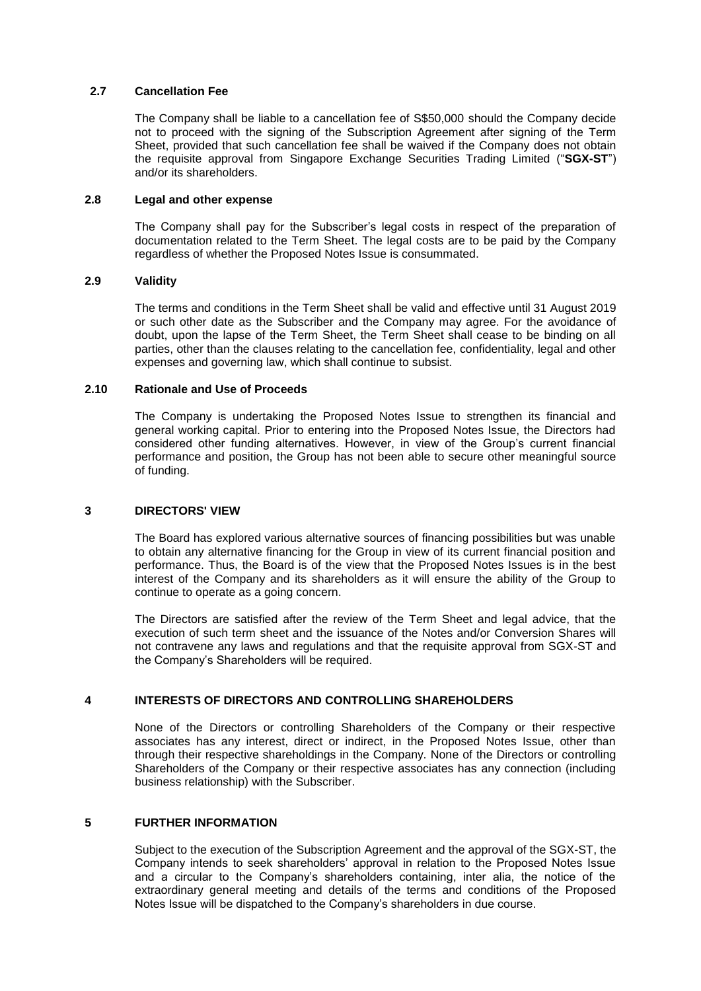## **2.7 Cancellation Fee**

The Company shall be liable to a cancellation fee of S\$50,000 should the Company decide not to proceed with the signing of the Subscription Agreement after signing of the Term Sheet, provided that such cancellation fee shall be waived if the Company does not obtain the requisite approval from Singapore Exchange Securities Trading Limited ("**SGX-ST**") and/or its shareholders.

### **2.8 Legal and other expense**

The Company shall pay for the Subscriber's legal costs in respect of the preparation of documentation related to the Term Sheet. The legal costs are to be paid by the Company regardless of whether the Proposed Notes Issue is consummated.

#### **2.9 Validity**

The terms and conditions in the Term Sheet shall be valid and effective until 31 August 2019 or such other date as the Subscriber and the Company may agree. For the avoidance of doubt, upon the lapse of the Term Sheet, the Term Sheet shall cease to be binding on all parties, other than the clauses relating to the cancellation fee, confidentiality, legal and other expenses and governing law, which shall continue to subsist.

#### **2.10 Rationale and Use of Proceeds**

The Company is undertaking the Proposed Notes Issue to strengthen its financial and general working capital. Prior to entering into the Proposed Notes Issue, the Directors had considered other funding alternatives. However, in view of the Group's current financial performance and position, the Group has not been able to secure other meaningful source of funding.

#### **3 DIRECTORS' VIEW**

The Board has explored various alternative sources of financing possibilities but was unable to obtain any alternative financing for the Group in view of its current financial position and performance. Thus, the Board is of the view that the Proposed Notes Issues is in the best interest of the Company and its shareholders as it will ensure the ability of the Group to continue to operate as a going concern.

The Directors are satisfied after the review of the Term Sheet and legal advice, that the execution of such term sheet and the issuance of the Notes and/or Conversion Shares will not contravene any laws and regulations and that the requisite approval from SGX-ST and the Company's Shareholders will be required.

#### **4 INTERESTS OF DIRECTORS AND CONTROLLING SHAREHOLDERS**

None of the Directors or controlling Shareholders of the Company or their respective associates has any interest, direct or indirect, in the Proposed Notes Issue, other than through their respective shareholdings in the Company. None of the Directors or controlling Shareholders of the Company or their respective associates has any connection (including business relationship) with the Subscriber.

#### **5 FURTHER INFORMATION**

Subject to the execution of the Subscription Agreement and the approval of the SGX-ST, the Company intends to seek shareholders' approval in relation to the Proposed Notes Issue and a circular to the Company's shareholders containing, inter alia, the notice of the extraordinary general meeting and details of the terms and conditions of the Proposed Notes Issue will be dispatched to the Company's shareholders in due course.